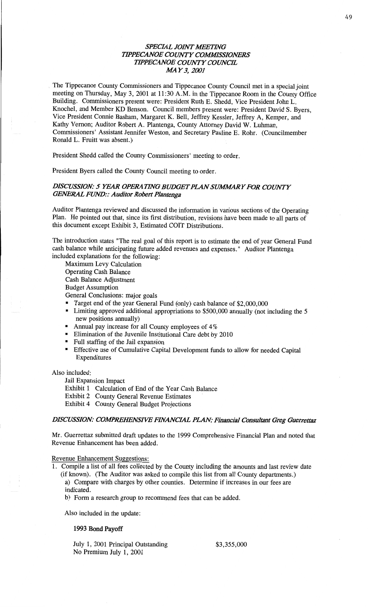# **SPECIAL JOINT MEETING TIPPECANOE COUNTY COMMISSIONERS** *WPECANOE COWTY COWCE*  AM Y3, *2001*

, The **Tippecanoe** County **Commissioners** and **Tippecanoe County** Council met in **a** special **joint**  meeting on Thursday, May 3, 2001 at 11:30 **A.M.** in the **Tippecanoe** Room in the County **Office Building.** Commissioners present were: President Ruth B. **Shedd,** Vice President John L. Knochel, and Member KD Benson. Council members present were: President David S. Byers, Vice President Connie **Basham,** Margaret K. Bell, Jeffrey Kessler, Jeffrey A, Kemper, and **Kathy Vernon; Auditor** Robert A. Plantenga, County Attorney David W. **Luhman,**  Commissioners' Assistant Jennifer Weston, and Secretary Pauline E. Rohr. **(Councilmember Ronald** L. Fruitt was absent.)

**President Shedd** called the County Commissioners' meeting to order.

President Byers called the County Council meeting to order.

## *DISCUSSION: 5 YEAR OPERATING BUDGET PLAN SUMMARY FOR COUNTY GENERAL FUND:: Auditor Robert Plantenga*

Auditor Plantenga reviewed and discussed the **information** in **various** sections of the Operating Plan. He pointed out that, **since** its first **distribution,** revisions have been **made** to all parts of **this** document **except Exhibit** 3, **Estimated** COIT Distributions.

The introduction states "The real goal of **this** report is to estimate the end of year General Fund **cash balance** while anticipating future added revenues and **expenses."** Auditor **Plantenga**  included **explanations** for the following:

**Maximum** Levy Calculation Operating Cash **Balance Cash** Balance **Adjustment**  Budget Assumption General Conclusions: major goals

. Target end of the year General Fund (only) cash balance of \$2,000,000

- **<sup>I</sup>**Limiting approved additional **appropriations** to \$500,000 annually (not **including** the 5 new **positions** annually)
- Annual pay increase for all County employees of 4%
- Elimination of the Juvenile Institutional Care debt by 2010
- Full staffing of the Jail **expansion**
- **Effective** use of Cumulative **Capital** Development **fimds** to allow for **needed Capital Expenditures**

**Also** included:

Jail **Expansion Impact** 

**Exhibit 1** Calculation of End of the Year **Cash** Balance

Exhibit 2 County General Revenue Estimates

Exhibit 4 County General Budget **Projections** 

## *DISCUSSION: COMPREHENSIVE FINANCIAL PLAN: Financial Consultant Greg Guerrettaz*

Mr. Guerrettaz submitted draft updates to the 1999 Comprehensive Financial Plan and **noted** that Revenue Enhancement has been **added.** 

Revenue **Enhancement** Suggestions:

1. Compile **a list** of all fees collected by the County including the amounts and last review date (if **known).** (The Auditor was asked to compile this **list from** all County **departments.)** 

3) Compare with charges by other **counties.** Determine if **increases** in our fees are **indicated.** 

b) Form **a** research group to recommend fees **that** can be added.

Also included in the update:

#### **1993 Bond Payoff**

July 1, 2001 **Principal Outstanding** \$3,355,000 No Premium July 1, 2001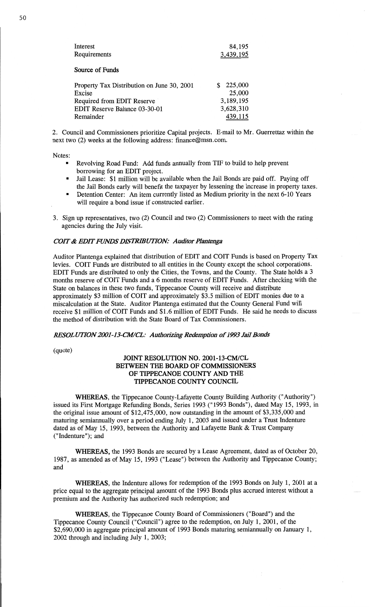| Interest                                   | 84,195       |
|--------------------------------------------|--------------|
| Requirements                               | 3,439,195    |
|                                            |              |
| Source of Funds                            |              |
|                                            |              |
| Property Tax Distribution on June 30, 2001 | 225,000<br>S |
| Excise                                     | 25,000       |
| Required from EDIT Reserve                 | 3,189,195    |
| EDIT Reserve Balance 03-30-01              | 3,628,310    |
| Remainder                                  | 439,115      |

2. Council and **Commissioners** prioritize Capital projects. **E—mail** to Mr. **Guerrettaz within** the next two (2) weeks at the following address: finance@msn.com.

Notes:

- Revolving Road Fund: Add funds annually from TIF to build to help prevent borrowing for an **EDIT** project.
- **I** Jail Lease: \$1 million will be available when the Jail Bonds are paid **off. Paying** off the Jail **Bonds** early will benefit the taxpayer by lessening the increase in property **taxes.**
- **IDEDEDIA INCOCORDITE:** An item currently listed as Medium priority in the next 6-10 Years will require **a bond issue** if constructed earlier.
- 3. Sign up **representatives,** two (2) Council and two (2) **Commissioners** to **meet** with the rating agencies during the July visit.

# *COIT & EDIT FUNDS DISTRIBUTION: Auditor Plantenga*

**Auditor Plantenga** explained that distribution of EDIT and COIT Funds is **based** on **Property** Tax levies. COIT Funds are distributed to all entities in the County except the school corporations. EDIT Funds are distributed to only the **Cities,** the Towns, and the County. The State **holds a** <sup>3</sup> months reserve of COIT Funds and a 6 **months** reserve of **EDIT** Funds. After checking with the State on balances in these two funds, Tippecanoe County will receive and distribute approximately \$3 million of COIT and approximately \$3.5 million of EDIT monies due to a miscalculation at the State. Auditor Plantenga estimated that the County General Fund will receive \$1 **million** of COIT Funds and \$1.6 million of **EDIT** Funds. He said he **needs** to discuss the method of distribution with the State **Board** of Tax **Commissioners.** 

#### *RESOLUTION 2001-13-CM/CL: Authorizing Redemption of 1993 Jail Bonds*

(quote)

## **JOINT RESOLUTION** NO. 2001-13-CM/CL **BETWEEN** THE **BOARD** OF **COMMISSIONERS**  OF **TIPPECANOE COUNTY** AND THE **TIPPECANOE** COUNTY **COUNCIL**

**WHEREAS,** the **Tippecanoe** County-Lafayette County Building **Authority** ("Authority") issued its First Mortgage Refunding **Bonds,** Series 1993 ("1993 Bonds"), **dated** May 15, 1993, in the original issue amount of \$12,475,000, now outstanding in the amount of \$3,335,000 and maturing semiannually over a period ending July 1, 2003 and issued under **a** Trust Indenture dated as of May 15, 1993, between the Authority and Lafayette **Bank** & **Trust** Company ("Indenture"); and

**WHEREAS,** the **1993 Bonds** are secured by **a** Lease **Agreement,** dated as of October 20, 1987, as **amended** as of May 15, 1993 ("Lease") between the Authority and **Tippecanoe** County; and

**WHEREAS,** the Indenture allows for **redemption** of the 1993 Bonds on July 1, **2001** at **a**  price equal to the aggregate principal amount of the 1993 Bonds plus accrued interest without **<sup>a</sup>** premium and the Authority has **authorized** such redemption; and

**WHEREAS,** the Tippecanoe County Board of **Commissioners** ("Board") and the **Tippecanoe** County Council ("Council") agree to the **redemption,** on July 1, 2001, of the \$2,690,000 in aggregate principal **amount** of 1993 **Bonds maturing semiannually** on January 1, 2002 through and including July 1, 2003;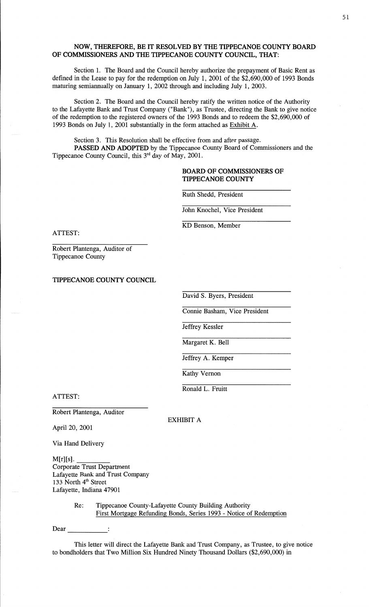## **NOW, THEREFORE,** BE IT **RESOLVED** BY THE **TIPPECAN** OE **COUNTY BOARD**  OF **COMMISSIONERS** AND THE **TIPPECANOE COUNTY COUNCIL,** THAT:

Section 1. The Board and the Council hereby authorize the prepayment of Basic **Rent** as defined in the Lease to pay for the redemption on July 1, 2001 of the \$2,690,000 of 1993 Bonds maturing semiannually on January 1, 2002 through and including July 1, 2003.

**Section** 2. The Board and the Council hereby ratify the written notice of the Authority to the Lafayette Bank and Trust Company ("Bank"), as Trustee, directing the Bank to give notice of the redemption to the registered owners of the 1993 Bonds and to redeem the \$2,690,000 of 1993 Bonds on July 1, 2001 substantially in the form attached as Exhibit A.

Section 3. This Resolution shall be effective from and after **passage. PASSED** AND **ADOPTED** by the Tippecanoe County Board of Commissioners and the Tippecanoe County Council, this  $3^{rd}$  day of May, 2001.

# **BOARD** OF **COMMISSIONERS** OF **TIPPECANOE COUNTY**

Ruth Shedd, President

John Knochel, Vice President

KD Benson, Member

**ATTEST:** 

Robert Plantenga, Auditor of Tippecanoe County

**TIPPECANOE COUNTY COUNCIL** 

David S. Byers, President

Comic **Basham,** Vice President

Jeffrey Kessler

Margaret K. Bell

Jeffrey A. Kemper

Kathy Vernon

**Ronald** L. Pruitt

ATTEST:

Robert Plantenga, Auditor

EXHIBIT **A** 

April 20, 2001

Via Hand Delivery

**M[r][s].**  Corporate Trust Department Lafayette Bank and Trust Company 133 North 4'" Street Lafayette, Indiana 47901

> Re: Tippecanoe County-Lafayette County Building Authority First Mortgage Refunding Bonds, Series 1993 *-* Notice of Redemption

Dear

**This** letter wilt direct the Lafayette Bank and Trust Company, as Trustee, to give notice to bondholders that Two Million Six Hundred Ninety **Thousand** Dollars (\$2,690,000) in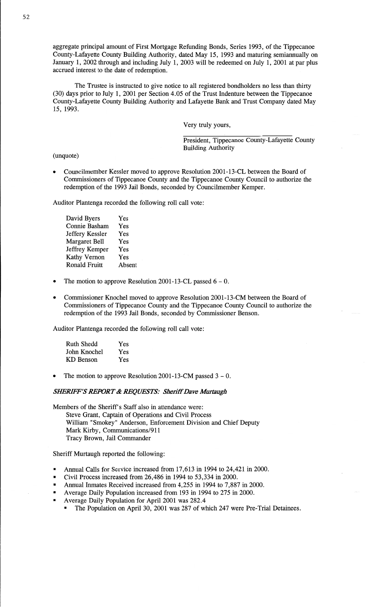aggregate principal amount of First Mortgage Refunding **Bonds,** Series 1993, of the Tippecanoe County—Lafayette County **Building** Authority, dated May 15, 1993 and maturing semiannually on January 1, 2002 through and **including** July 1, 2003 will be redeemed on July 1, 2001 at par plus accrued interest to the date of redemption.

The Trustee is instructed to give notice to all registered bondholders no less **than** thirty (30) days prior to July 1, 2001 per Section 4.05 of the Trust Indenture between the Tippecanoe County—Lafayette County Building Authority and Lafayette **Bank** and Trust Company dated May 15, 1993.

Very truly yours,

President, Tippecanoe County-Lafayette County Building Authority

(unquote)

Councilmember Kessler moved to approve Resolution 2001-13-CL between the Board of Commissioners of Tippecanoe County and the Tippecanoe County Council to authorize the redemption of the 1993 Jail **Bonds,** seconded by Councilmember Kemper.

Auditor Plantenga recorded the following roll call vote:

**David** Byers Yes Connie **Basham** Yes Jeffery Kessler Yes Margaret Bell Yes Jeffrey Kemper Yes Kathy **Vernon** Yes Ronald Fruitt Absent

- The motion to approve Resolution 2001-13-CL passed  $6 0$ .
- *0* **Commissioner** Knochel moved to approve Resolution 2001-13—CM between the Board of Commissioners of Tippecanoe County and the Tippecanoe County Council to authorize the redemption of the 1993 Jail **Bonds,** seconded by Commissioner Benson.

Auditor Plantenga recorded the following roll call vote:

| <b>Ruth Shedd</b> | Yes |
|-------------------|-----|
| John Knochel      | Yes |
| KD Benson         | Yes |

The motion to approve Resolution 2001-13-CM passed  $3 - 0$ .

#### *SHERIFF'S REPORT & REQUESTS: Sheriff Dave Murtaugh*

Members of the Sheriff's Staff also in attendance were:

Steve Grant, Captain of Operations and Civil Process William "Smokey" Anderson, Enforcement Division and Chief Deputy Mark Kirby, Communications/911 Tracy Brown, Jail Commander

Sheriff Murtaugh reported the following:

- Annual Calls for Service increased from 17,613 in 1994 to 24,421 in 2000.
- Civil Process increased from 26,486 in 1994 to 53,334 in **2000.**
- **Annual** Inmates Received **increased** from 4,255 in 1994 to 7,887 in 2000.
- Average Daily Population increased from 193 in 1994 to 275 in 2000.
- Average Daily **Population** for April 2001 was 282.4
	- The Population on April 30, 2001 was 287 of which 247 were Pre-Trial Detainees.